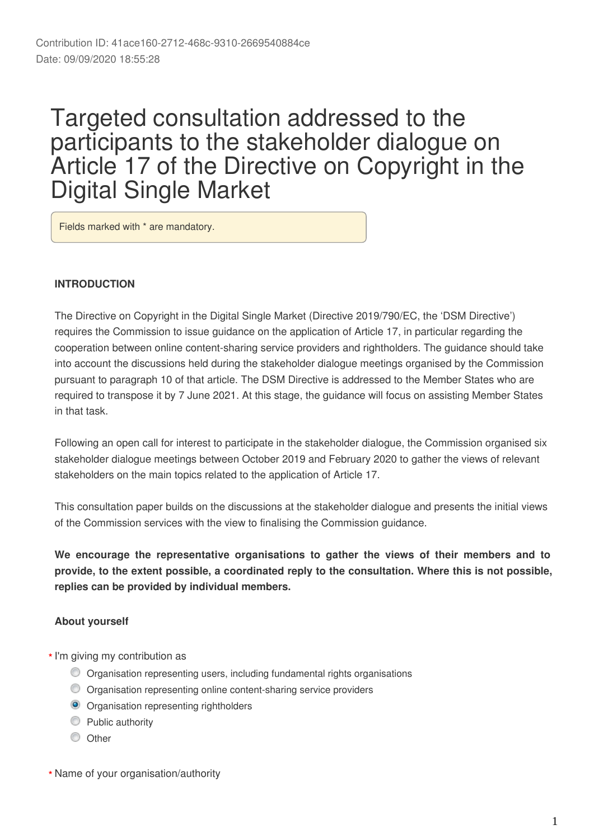# Targeted consultation addressed to the participants to the stakeholder dialogue on Article 17 of the Directive on Copyright in the Digital Single Market

Fields marked with \* are mandatory.

### **INTRODUCTION**

The Directive on Copyright in the Digital Single Market (Directive 2019/790/EC, the 'DSM Directive') requires the Commission to issue guidance on the application of Article 17, in particular regarding the cooperation between online content-sharing service providers and rightholders. The guidance should take into account the discussions held during the stakeholder dialogue meetings organised by the Commission pursuant to paragraph 10 of that article. The DSM Directive is addressed to the Member States who are required to transpose it by 7 June 2021. At this stage, the guidance will focus on assisting Member States in that task.

Following an open call for interest to participate in the stakeholder dialogue, the Commission organised six stakeholder dialogue meetings between October 2019 and February 2020 to gather the views of relevant stakeholders on the main topics related to the application of Article 17.

This consultation paper builds on the discussions at the stakeholder dialogue and presents the initial views of the Commission services with the view to finalising the Commission guidance.

**We encourage the representative organisations to gather the views of their members and to provide, to the extent possible, a coordinated reply to the consultation. Where this is not possible, replies can be provided by individual members.**

# **About yourself**

- I'm giving my contribution as **\***
	- Organisation representing users, including fundamental rights organisations
	- Organisation representing online content-sharing service providers
	- **O** Organisation representing rightholders
	- **Public authority**
	- C Other

Name of your organisation/authority **\***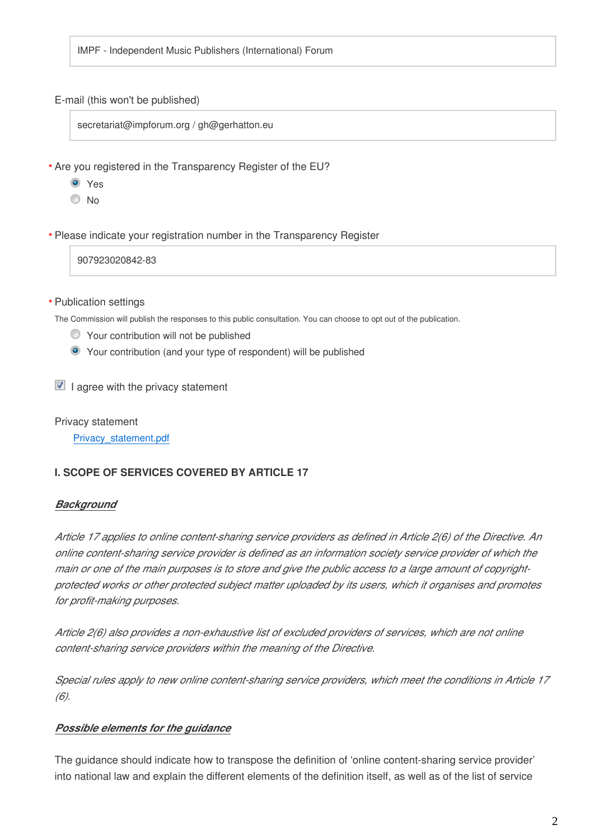IMPF - Independent Music Publishers (International) Forum

#### E-mail (this won't be published)

secretariat@impforum.org / gh@gerhatton.eu

Are you registered in the Transparency Register of the EU? **\***

- **O** Yes
- <sup>O</sup>No

Please indicate your registration number in the Transparency Register **\***

907923020842-83

#### Publication settings **\***

The Commission will publish the responses to this public consultation. You can choose to opt out of the publication.

- Your contribution will not be published
- Your contribution (and your type of respondent) will be published

 $\blacksquare$  I agree with the privacy statement

Privacy statement

Privacy\_statement.pdf

# **I. SCOPE OF SERVICES COVERED BY ARTICLE 17**

# *Background*

*Article 17 applies to online content-sharing service providers as defined in Article 2(6) of the Directive. An online content-sharing service provider is defined as an information society service provider of which the main or one of the main purposes is to store and give the public access to a large amount of copyrightprotected works or other protected subject matter uploaded by its users, which it organises and promotes for profit-making purposes.* 

*Article 2(6) also provides a non-exhaustive list of excluded providers of services, which are not online content-sharing service providers within the meaning of the Directive.* 

*Special rules apply to new online content-sharing service providers, which meet the conditions in Article 17 (6).*

# *Possible elements for the guidance*

The guidance should indicate how to transpose the definition of 'online content-sharing service provider' into national law and explain the different elements of the definition itself, as well as of the list of service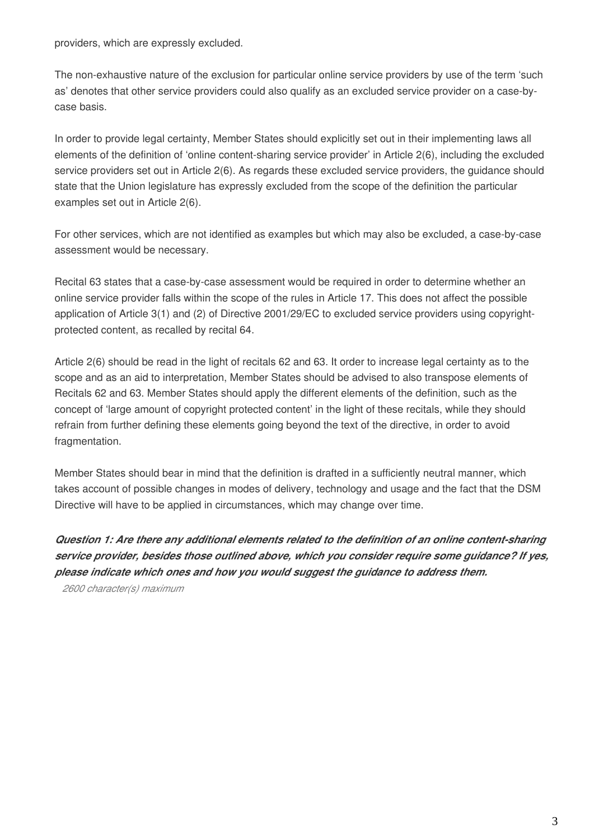providers, which are expressly excluded.

The non-exhaustive nature of the exclusion for particular online service providers by use of the term 'such as' denotes that other service providers could also qualify as an excluded service provider on a case-bycase basis.

In order to provide legal certainty, Member States should explicitly set out in their implementing laws all elements of the definition of 'online content-sharing service provider' in Article 2(6), including the excluded service providers set out in Article 2(6). As regards these excluded service providers, the guidance should state that the Union legislature has expressly excluded from the scope of the definition the particular examples set out in Article 2(6).

For other services, which are not identified as examples but which may also be excluded, a case-by-case assessment would be necessary.

Recital 63 states that a case-by-case assessment would be required in order to determine whether an online service provider falls within the scope of the rules in Article 17. This does not affect the possible application of Article 3(1) and (2) of Directive 2001/29/EC to excluded service providers using copyrightprotected content, as recalled by recital 64.

Article 2(6) should be read in the light of recitals 62 and 63. It order to increase legal certainty as to the scope and as an aid to interpretation, Member States should be advised to also transpose elements of Recitals 62 and 63. Member States should apply the different elements of the definition, such as the concept of 'large amount of copyright protected content' in the light of these recitals, while they should refrain from further defining these elements going beyond the text of the directive, in order to avoid fragmentation.

Member States should bear in mind that the definition is drafted in a sufficiently neutral manner, which takes account of possible changes in modes of delivery, technology and usage and the fact that the DSM Directive will have to be applied in circumstances, which may change over time.

*Question 1: Are there any additional elements related to the definition of an online content-sharing service provider, besides those outlined above, which you consider require some guidance? If yes, please indicate which ones and how you would suggest the guidance to address them.*

*2600 character(s) maximum*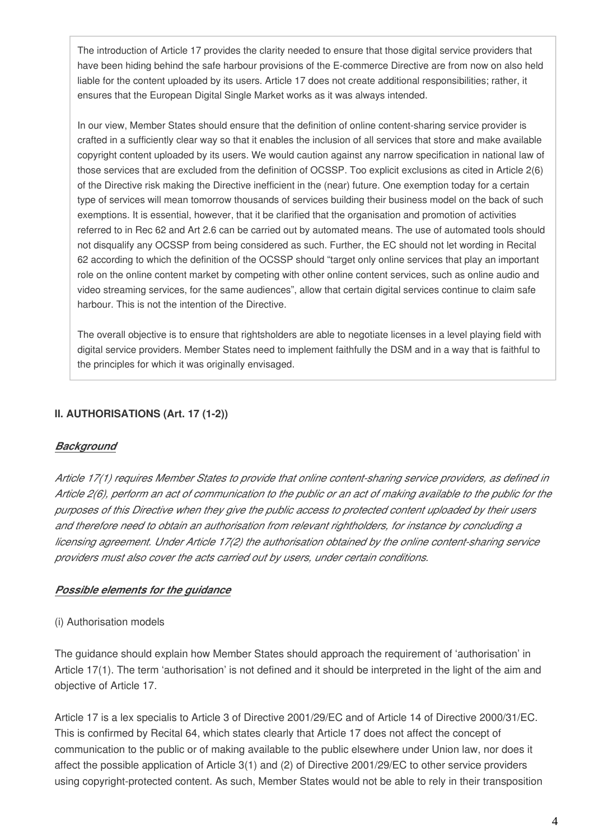The introduction of Article 17 provides the clarity needed to ensure that those digital service providers that have been hiding behind the safe harbour provisions of the E-commerce Directive are from now on also held liable for the content uploaded by its users. Article 17 does not create additional responsibilities; rather, it ensures that the European Digital Single Market works as it was always intended.

In our view, Member States should ensure that the definition of online content-sharing service provider is crafted in a sufficiently clear way so that it enables the inclusion of all services that store and make available copyright content uploaded by its users. We would caution against any narrow specification in national law of those services that are excluded from the definition of OCSSP. Too explicit exclusions as cited in Article 2(6) of the Directive risk making the Directive inefficient in the (near) future. One exemption today for a certain type of services will mean tomorrow thousands of services building their business model on the back of such exemptions. It is essential, however, that it be clarified that the organisation and promotion of activities referred to in Rec 62 and Art 2.6 can be carried out by automated means. The use of automated tools should not disqualify any OCSSP from being considered as such. Further, the EC should not let wording in Recital 62 according to which the definition of the OCSSP should "target only online services that play an important role on the online content market by competing with other online content services, such as online audio and video streaming services, for the same audiences", allow that certain digital services continue to claim safe harbour. This is not the intention of the Directive.

The overall objective is to ensure that rightsholders are able to negotiate licenses in a level playing field with digital service providers. Member States need to implement faithfully the DSM and in a way that is faithful to the principles for which it was originally envisaged.

### **II. AUTHORISATIONS (Art. 17 (1-2))**

#### *Background*

*Article 17(1) requires Member States to provide that online content-sharing service providers, as defined in Article 2(6), perform an act of communication to the public or an act of making available to the public for the purposes of this Directive when they give the public access to protected content uploaded by their users and therefore need to obtain an authorisation from relevant rightholders, for instance by concluding a licensing agreement. Under Article 17(2) the authorisation obtained by the online content-sharing service providers must also cover the acts carried out by users, under certain conditions.*

#### *Possible elements for the guidance*

#### (i) Authorisation models

The guidance should explain how Member States should approach the requirement of 'authorisation' in Article 17(1). The term 'authorisation' is not defined and it should be interpreted in the light of the aim and objective of Article 17.

Article 17 is a lex specialis to Article 3 of Directive 2001/29/EC and of Article 14 of Directive 2000/31/EC. This is confirmed by Recital 64, which states clearly that Article 17 does not affect the concept of communication to the public or of making available to the public elsewhere under Union law, nor does it affect the possible application of Article 3(1) and (2) of Directive 2001/29/EC to other service providers using copyright-protected content. As such, Member States would not be able to rely in their transposition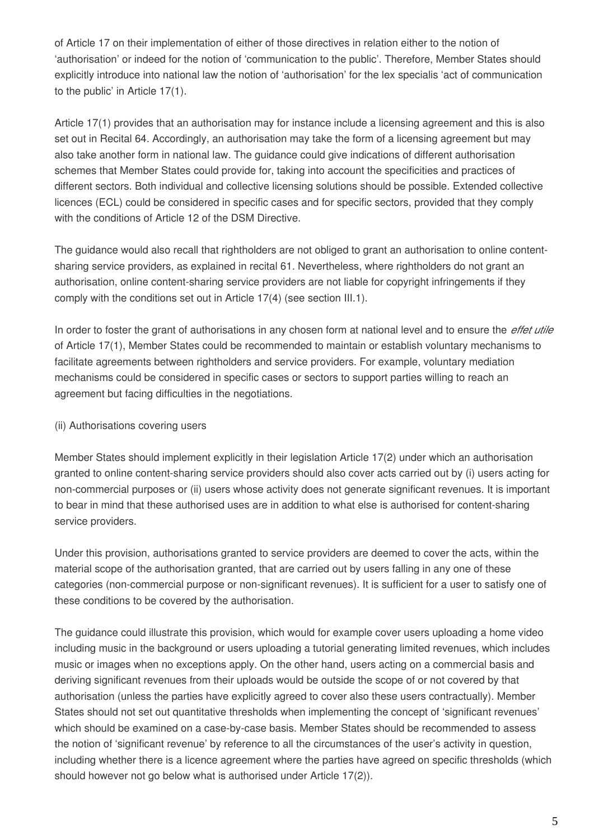of Article 17 on their implementation of either of those directives in relation either to the notion of 'authorisation' or indeed for the notion of 'communication to the public'. Therefore, Member States should explicitly introduce into national law the notion of 'authorisation' for the lex specialis 'act of communication to the public' in Article 17(1).

Article 17(1) provides that an authorisation may for instance include a licensing agreement and this is also set out in Recital 64. Accordingly, an authorisation may take the form of a licensing agreement but may also take another form in national law. The guidance could give indications of different authorisation schemes that Member States could provide for, taking into account the specificities and practices of different sectors. Both individual and collective licensing solutions should be possible. Extended collective licences (ECL) could be considered in specific cases and for specific sectors, provided that they comply with the conditions of Article 12 of the DSM Directive.

The guidance would also recall that rightholders are not obliged to grant an authorisation to online contentsharing service providers, as explained in recital 61. Nevertheless, where rightholders do not grant an authorisation, online content-sharing service providers are not liable for copyright infringements if they comply with the conditions set out in Article 17(4) (see section III.1).

In order to foster the grant of authorisations in any chosen form at national level and to ensure the *effet utile* of Article 17(1), Member States could be recommended to maintain or establish voluntary mechanisms to facilitate agreements between rightholders and service providers. For example, voluntary mediation mechanisms could be considered in specific cases or sectors to support parties willing to reach an agreement but facing difficulties in the negotiations.

# (ii) Authorisations covering users

Member States should implement explicitly in their legislation Article 17(2) under which an authorisation granted to online content-sharing service providers should also cover acts carried out by (i) users acting for non-commercial purposes or (ii) users whose activity does not generate significant revenues. It is important to bear in mind that these authorised uses are in addition to what else is authorised for content-sharing service providers.

Under this provision, authorisations granted to service providers are deemed to cover the acts, within the material scope of the authorisation granted, that are carried out by users falling in any one of these categories (non-commercial purpose or non-significant revenues). It is sufficient for a user to satisfy one of these conditions to be covered by the authorisation.

The guidance could illustrate this provision, which would for example cover users uploading a home video including music in the background or users uploading a tutorial generating limited revenues, which includes music or images when no exceptions apply. On the other hand, users acting on a commercial basis and deriving significant revenues from their uploads would be outside the scope of or not covered by that authorisation (unless the parties have explicitly agreed to cover also these users contractually). Member States should not set out quantitative thresholds when implementing the concept of 'significant revenues' which should be examined on a case-by-case basis. Member States should be recommended to assess the notion of 'significant revenue' by reference to all the circumstances of the user's activity in question, including whether there is a licence agreement where the parties have agreed on specific thresholds (which should however not go below what is authorised under Article 17(2)).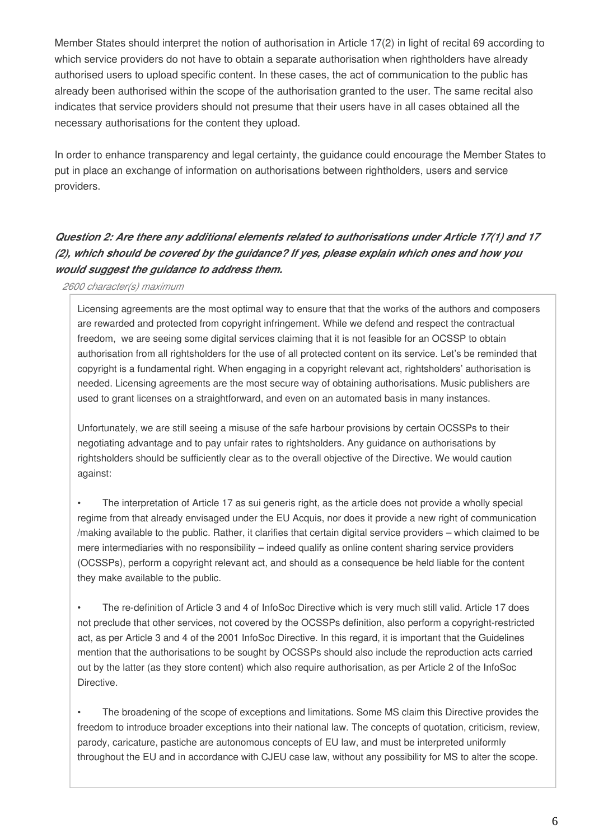Member States should interpret the notion of authorisation in Article 17(2) in light of recital 69 according to which service providers do not have to obtain a separate authorisation when rightholders have already authorised users to upload specific content. In these cases, the act of communication to the public has already been authorised within the scope of the authorisation granted to the user. The same recital also indicates that service providers should not presume that their users have in all cases obtained all the necessary authorisations for the content they upload.

In order to enhance transparency and legal certainty, the guidance could encourage the Member States to put in place an exchange of information on authorisations between rightholders, users and service providers.

# *Question 2: Are there any additional elements related to authorisations under Article 17(1) and 17 (2), which should be covered by the guidance? If yes, please explain which ones and how you would suggest the guidance to address them.*

#### *2600 character(s) maximum*

Licensing agreements are the most optimal way to ensure that that the works of the authors and composers are rewarded and protected from copyright infringement. While we defend and respect the contractual freedom, we are seeing some digital services claiming that it is not feasible for an OCSSP to obtain authorisation from all rightsholders for the use of all protected content on its service. Let's be reminded that copyright is a fundamental right. When engaging in a copyright relevant act, rightsholders' authorisation is needed. Licensing agreements are the most secure way of obtaining authorisations. Music publishers are used to grant licenses on a straightforward, and even on an automated basis in many instances.

Unfortunately, we are still seeing a misuse of the safe harbour provisions by certain OCSSPs to their negotiating advantage and to pay unfair rates to rightsholders. Any guidance on authorisations by rightsholders should be sufficiently clear as to the overall objective of the Directive. We would caution against:

The interpretation of Article 17 as sui generis right, as the article does not provide a wholly special regime from that already envisaged under the EU Acquis, nor does it provide a new right of communication /making available to the public. Rather, it clarifies that certain digital service providers – which claimed to be mere intermediaries with no responsibility – indeed qualify as online content sharing service providers (OCSSPs), perform a copyright relevant act, and should as a consequence be held liable for the content they make available to the public.

• The re-definition of Article 3 and 4 of InfoSoc Directive which is very much still valid. Article 17 does not preclude that other services, not covered by the OCSSPs definition, also perform a copyright-restricted act, as per Article 3 and 4 of the 2001 InfoSoc Directive. In this regard, it is important that the Guidelines mention that the authorisations to be sought by OCSSPs should also include the reproduction acts carried out by the latter (as they store content) which also require authorisation, as per Article 2 of the InfoSoc Directive.

• The broadening of the scope of exceptions and limitations. Some MS claim this Directive provides the freedom to introduce broader exceptions into their national law. The concepts of quotation, criticism, review, parody, caricature, pastiche are autonomous concepts of EU law, and must be interpreted uniformly throughout the EU and in accordance with CJEU case law, without any possibility for MS to alter the scope.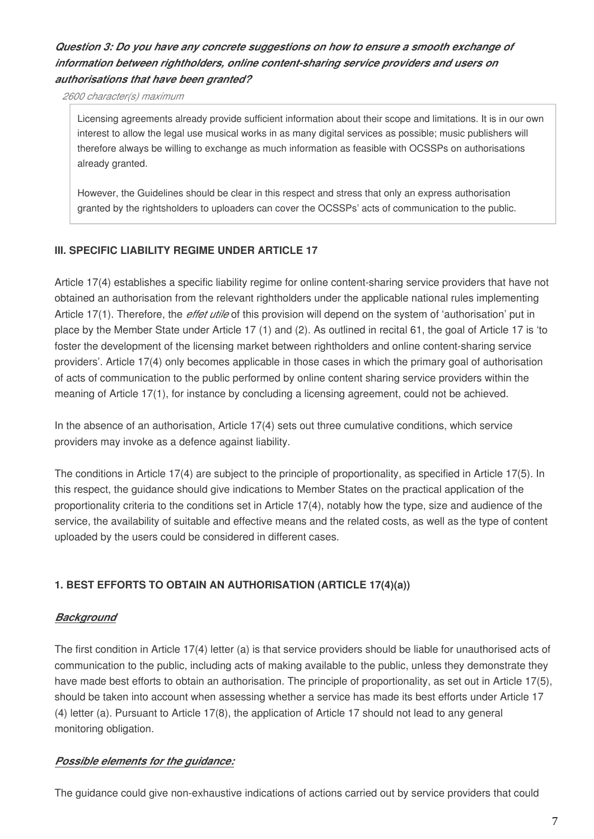# *Question 3: Do you have any concrete suggestions on how to ensure a smooth exchange of information between rightholders, online content-sharing service providers and users on authorisations that have been granted?*

*2600 character(s) maximum*

Licensing agreements already provide sufficient information about their scope and limitations. It is in our own interest to allow the legal use musical works in as many digital services as possible; music publishers will therefore always be willing to exchange as much information as feasible with OCSSPs on authorisations already granted.

However, the Guidelines should be clear in this respect and stress that only an express authorisation granted by the rightsholders to uploaders can cover the OCSSPs' acts of communication to the public.

# **III. SPECIFIC LIABILITY REGIME UNDER ARTICLE 17**

Article 17(4) establishes a specific liability regime for online content-sharing service providers that have not obtained an authorisation from the relevant rightholders under the applicable national rules implementing Article 17(1). Therefore, the *effet utile* of this provision will depend on the system of 'authorisation' put in place by the Member State under Article 17 (1) and (2). As outlined in recital 61, the goal of Article 17 is 'to foster the development of the licensing market between rightholders and online content-sharing service providers'. Article 17(4) only becomes applicable in those cases in which the primary goal of authorisation of acts of communication to the public performed by online content sharing service providers within the meaning of Article 17(1), for instance by concluding a licensing agreement, could not be achieved.

In the absence of an authorisation, Article 17(4) sets out three cumulative conditions, which service providers may invoke as a defence against liability.

The conditions in Article 17(4) are subject to the principle of proportionality, as specified in Article 17(5). In this respect, the guidance should give indications to Member States on the practical application of the proportionality criteria to the conditions set in Article 17(4), notably how the type, size and audience of the service, the availability of suitable and effective means and the related costs, as well as the type of content uploaded by the users could be considered in different cases.

# **1. BEST EFFORTS TO OBTAIN AN AUTHORISATION (ARTICLE 17(4)(a))**

# *Background*

The first condition in Article 17(4) letter (a) is that service providers should be liable for unauthorised acts of communication to the public, including acts of making available to the public, unless they demonstrate they have made best efforts to obtain an authorisation. The principle of proportionality, as set out in Article 17(5), should be taken into account when assessing whether a service has made its best efforts under Article 17 (4) letter (a). Pursuant to Article 17(8), the application of Article 17 should not lead to any general monitoring obligation.

# *Possible elements for the guidance:*

The guidance could give non-exhaustive indications of actions carried out by service providers that could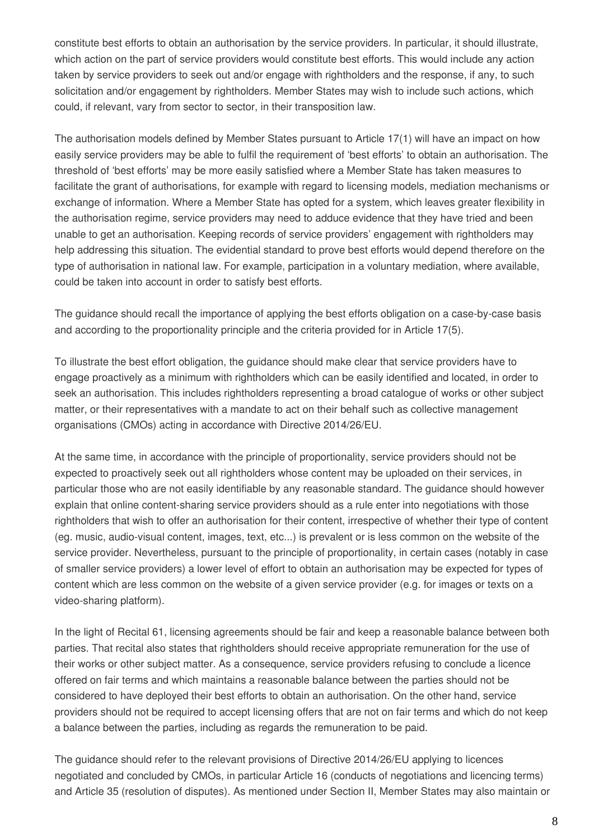constitute best efforts to obtain an authorisation by the service providers. In particular, it should illustrate, which action on the part of service providers would constitute best efforts. This would include any action taken by service providers to seek out and/or engage with rightholders and the response, if any, to such solicitation and/or engagement by rightholders. Member States may wish to include such actions, which could, if relevant, vary from sector to sector, in their transposition law.

The authorisation models defined by Member States pursuant to Article 17(1) will have an impact on how easily service providers may be able to fulfil the requirement of 'best efforts' to obtain an authorisation. The threshold of 'best efforts' may be more easily satisfied where a Member State has taken measures to facilitate the grant of authorisations, for example with regard to licensing models, mediation mechanisms or exchange of information. Where a Member State has opted for a system, which leaves greater flexibility in the authorisation regime, service providers may need to adduce evidence that they have tried and been unable to get an authorisation. Keeping records of service providers' engagement with rightholders may help addressing this situation. The evidential standard to prove best efforts would depend therefore on the type of authorisation in national law. For example, participation in a voluntary mediation, where available, could be taken into account in order to satisfy best efforts.

The guidance should recall the importance of applying the best efforts obligation on a case-by-case basis and according to the proportionality principle and the criteria provided for in Article 17(5).

To illustrate the best effort obligation, the guidance should make clear that service providers have to engage proactively as a minimum with rightholders which can be easily identified and located, in order to seek an authorisation. This includes rightholders representing a broad catalogue of works or other subject matter, or their representatives with a mandate to act on their behalf such as collective management organisations (CMOs) acting in accordance with Directive 2014/26/EU.

At the same time, in accordance with the principle of proportionality, service providers should not be expected to proactively seek out all rightholders whose content may be uploaded on their services, in particular those who are not easily identifiable by any reasonable standard. The guidance should however explain that online content-sharing service providers should as a rule enter into negotiations with those rightholders that wish to offer an authorisation for their content, irrespective of whether their type of content (eg. music, audio-visual content, images, text, etc...) is prevalent or is less common on the website of the service provider. Nevertheless, pursuant to the principle of proportionality, in certain cases (notably in case of smaller service providers) a lower level of effort to obtain an authorisation may be expected for types of content which are less common on the website of a given service provider (e.g. for images or texts on a video-sharing platform).

In the light of Recital 61, licensing agreements should be fair and keep a reasonable balance between both parties. That recital also states that rightholders should receive appropriate remuneration for the use of their works or other subject matter. As a consequence, service providers refusing to conclude a licence offered on fair terms and which maintains a reasonable balance between the parties should not be considered to have deployed their best efforts to obtain an authorisation. On the other hand, service providers should not be required to accept licensing offers that are not on fair terms and which do not keep a balance between the parties, including as regards the remuneration to be paid.

The guidance should refer to the relevant provisions of Directive 2014/26/EU applying to licences negotiated and concluded by CMOs, in particular Article 16 (conducts of negotiations and licencing terms) and Article 35 (resolution of disputes). As mentioned under Section II, Member States may also maintain or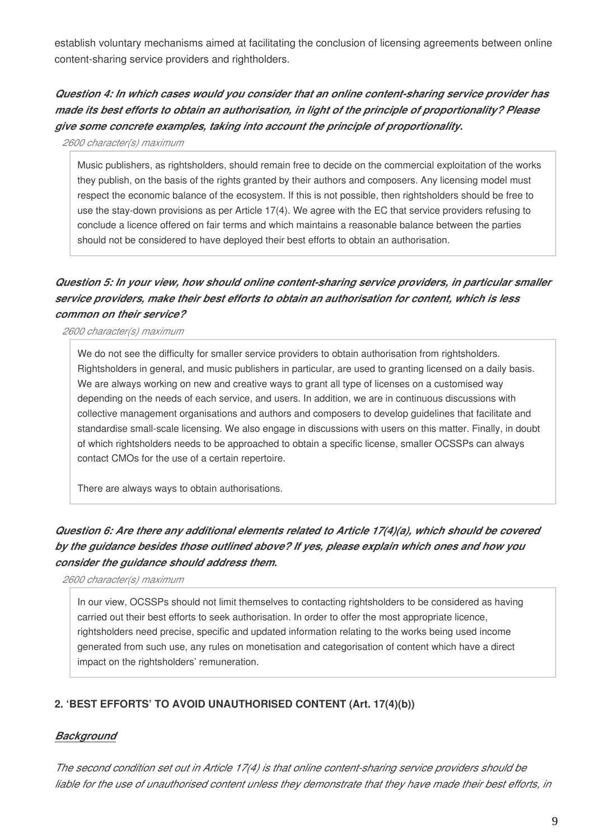establish voluntary mechanisms aimed at facilitating the conclusion of licensing agreements between online content-sharing service providers and rightholders.

*Question 4: In which cases would you consider that an online content-sharing service provider has made its best efforts to obtain an authorisation, in light of the principle of proportionality? Please give some concrete examples, taking into account the principle of proportionality.*

*2600 character(s) maximum*

Music publishers, as rightsholders, should remain free to decide on the commercial exploitation of the works they publish, on the basis of the rights granted by their authors and composers. Any licensing model must respect the economic balance of the ecosystem. If this is not possible, then rightsholders should be free to use the stay-down provisions as per Article 17(4). We agree with the EC that service providers refusing to conclude a licence offered on fair terms and which maintains a reasonable balance between the parties should not be considered to have deployed their best efforts to obtain an authorisation.

# *Question 5: In your view, how should online content-sharing service providers, in particular smaller service providers, make their best efforts to obtain an authorisation for content, which is less common on their service?*

*2600 character(s) maximum*

We do not see the difficulty for smaller service providers to obtain authorisation from rightsholders. Rightsholders in general, and music publishers in particular, are used to granting licensed on a daily basis. We are always working on new and creative ways to grant all type of licenses on a customised way depending on the needs of each service, and users. In addition, we are in continuous discussions with collective management organisations and authors and composers to develop guidelines that facilitate and standardise small-scale licensing. We also engage in discussions with users on this matter. Finally, in doubt of which rightsholders needs to be approached to obtain a specific license, smaller OCSSPs can always contact CMOs for the use of a certain repertoire.

There are always ways to obtain authorisations.

# *Question 6: Are there any additional elements related to Article 17(4)(a), which should be covered by the guidance besides those outlined above? If yes, please explain which ones and how you consider the guidance should address them.*

*2600 character(s) maximum*

In our view, OCSSPs should not limit themselves to contacting rightsholders to be considered as having carried out their best efforts to seek authorisation. In order to offer the most appropriate licence, rightsholders need precise, specific and updated information relating to the works being used income generated from such use, any rules on monetisation and categorisation of content which have a direct impact on the rightsholders' remuneration.

# **2. 'BEST EFFORTS' TO AVOID UNAUTHORISED CONTENT (Art. 17(4)(b))**

# *Background*

*The second condition set out in Article 17(4) is that online content-sharing service providers should be liable for the use of unauthorised content unless they demonstrate that they have made their best efforts, in*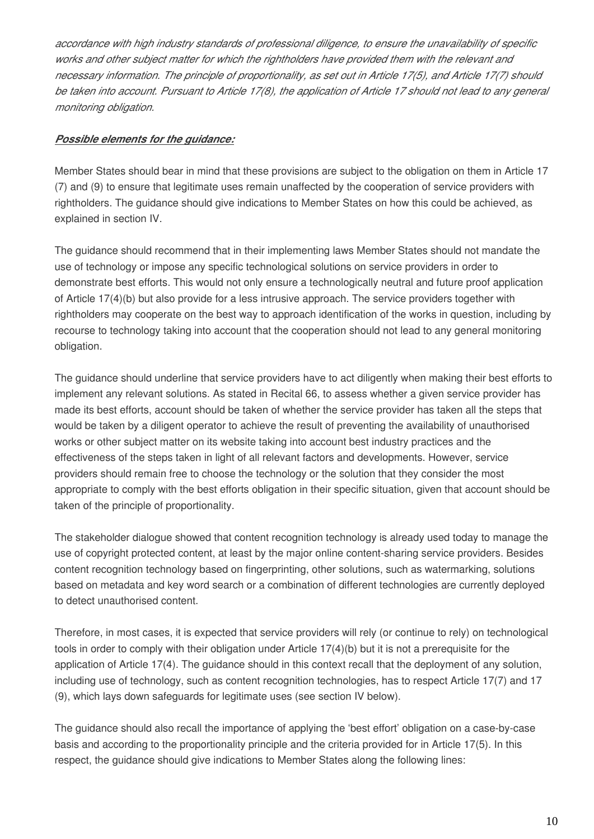*accordance with high industry standards of professional diligence, to ensure the unavailability of specific works and other subject matter for which the rightholders have provided them with the relevant and necessary information. The principle of proportionality, as set out in Article 17(5), and Article 17(7) should*  be taken into account. Pursuant to Article 17(8), the application of Article 17 should not lead to any general *monitoring obligation.*

# *Possible elements for the guidance:*

Member States should bear in mind that these provisions are subject to the obligation on them in Article 17 (7) and (9) to ensure that legitimate uses remain unaffected by the cooperation of service providers with rightholders. The guidance should give indications to Member States on how this could be achieved, as explained in section IV.

The guidance should recommend that in their implementing laws Member States should not mandate the use of technology or impose any specific technological solutions on service providers in order to demonstrate best efforts. This would not only ensure a technologically neutral and future proof application of Article 17(4)(b) but also provide for a less intrusive approach. The service providers together with rightholders may cooperate on the best way to approach identification of the works in question, including by recourse to technology taking into account that the cooperation should not lead to any general monitoring obligation.

The guidance should underline that service providers have to act diligently when making their best efforts to implement any relevant solutions. As stated in Recital 66, to assess whether a given service provider has made its best efforts, account should be taken of whether the service provider has taken all the steps that would be taken by a diligent operator to achieve the result of preventing the availability of unauthorised works or other subject matter on its website taking into account best industry practices and the effectiveness of the steps taken in light of all relevant factors and developments. However, service providers should remain free to choose the technology or the solution that they consider the most appropriate to comply with the best efforts obligation in their specific situation, given that account should be taken of the principle of proportionality.

The stakeholder dialogue showed that content recognition technology is already used today to manage the use of copyright protected content, at least by the major online content-sharing service providers. Besides content recognition technology based on fingerprinting, other solutions, such as watermarking, solutions based on metadata and key word search or a combination of different technologies are currently deployed to detect unauthorised content.

Therefore, in most cases, it is expected that service providers will rely (or continue to rely) on technological tools in order to comply with their obligation under Article 17(4)(b) but it is not a prerequisite for the application of Article 17(4). The guidance should in this context recall that the deployment of any solution, including use of technology, such as content recognition technologies, has to respect Article 17(7) and 17 (9), which lays down safeguards for legitimate uses (see section IV below).

The guidance should also recall the importance of applying the 'best effort' obligation on a case-by-case basis and according to the proportionality principle and the criteria provided for in Article 17(5). In this respect, the guidance should give indications to Member States along the following lines: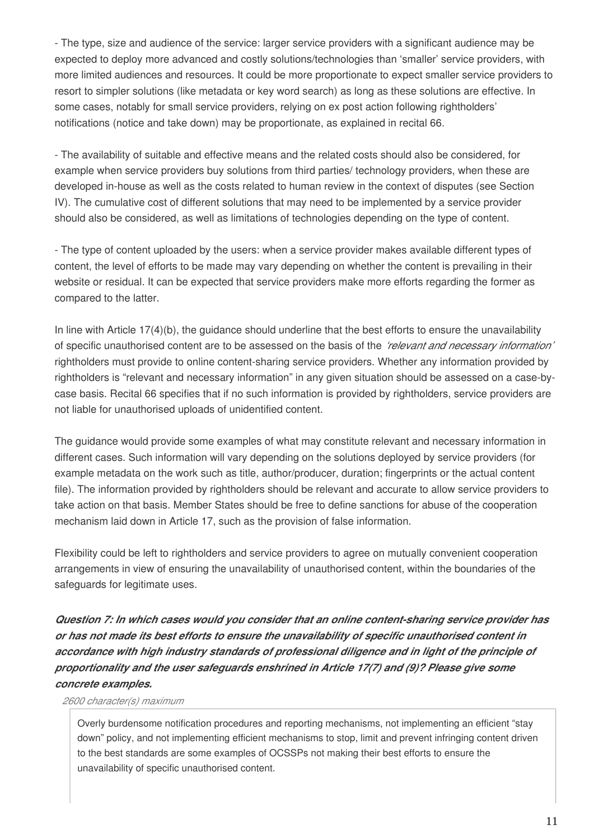- The type, size and audience of the service: larger service providers with a significant audience may be expected to deploy more advanced and costly solutions/technologies than 'smaller' service providers, with more limited audiences and resources. It could be more proportionate to expect smaller service providers to resort to simpler solutions (like metadata or key word search) as long as these solutions are effective. In some cases, notably for small service providers, relying on ex post action following rightholders' notifications (notice and take down) may be proportionate, as explained in recital 66.

- The availability of suitable and effective means and the related costs should also be considered, for example when service providers buy solutions from third parties/ technology providers, when these are developed in-house as well as the costs related to human review in the context of disputes (see Section IV). The cumulative cost of different solutions that may need to be implemented by a service provider should also be considered, as well as limitations of technologies depending on the type of content.

- The type of content uploaded by the users: when a service provider makes available different types of content, the level of efforts to be made may vary depending on whether the content is prevailing in their website or residual. It can be expected that service providers make more efforts regarding the former as compared to the latter.

In line with Article 17(4)(b), the guidance should underline that the best efforts to ensure the unavailability of specific unauthorised content are to be assessed on the basis of the *'relevant and necessary information'* rightholders must provide to online content-sharing service providers. Whether any information provided by rightholders is "relevant and necessary information" in any given situation should be assessed on a case-bycase basis. Recital 66 specifies that if no such information is provided by rightholders, service providers are not liable for unauthorised uploads of unidentified content.

The guidance would provide some examples of what may constitute relevant and necessary information in different cases. Such information will vary depending on the solutions deployed by service providers (for example metadata on the work such as title, author/producer, duration; fingerprints or the actual content file). The information provided by rightholders should be relevant and accurate to allow service providers to take action on that basis. Member States should be free to define sanctions for abuse of the cooperation mechanism laid down in Article 17, such as the provision of false information.

Flexibility could be left to rightholders and service providers to agree on mutually convenient cooperation arrangements in view of ensuring the unavailability of unauthorised content, within the boundaries of the safeguards for legitimate uses.

*Question 7: In which cases would you consider that an online content-sharing service provider has or has not made its best efforts to ensure the unavailability of specific unauthorised content in accordance with high industry standards of professional diligence and in light of the principle of proportionality and the user safeguards enshrined in Article 17(7) and (9)? Please give some concrete examples.*

#### *2600 character(s) maximum*

Overly burdensome notification procedures and reporting mechanisms, not implementing an efficient "stay down" policy, and not implementing efficient mechanisms to stop, limit and prevent infringing content driven to the best standards are some examples of OCSSPs not making their best efforts to ensure the unavailability of specific unauthorised content.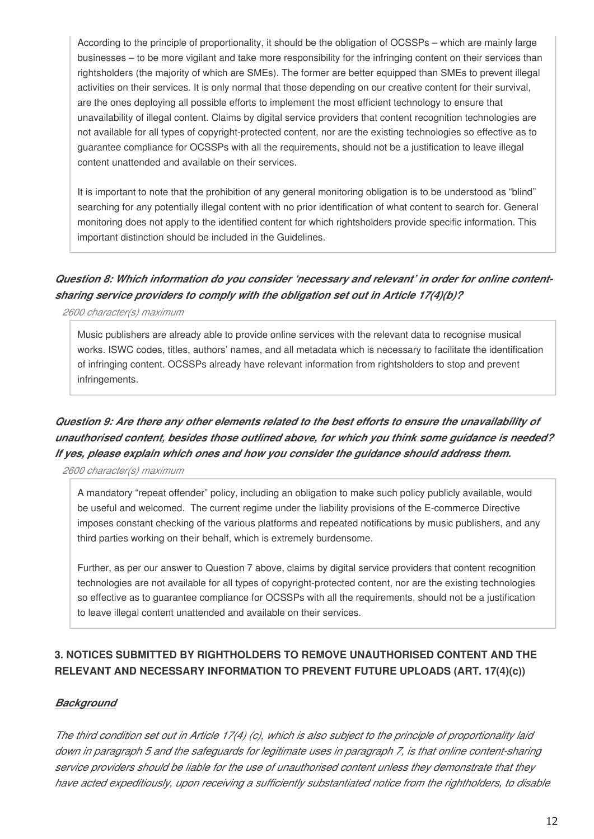According to the principle of proportionality, it should be the obligation of OCSSPs – which are mainly large businesses – to be more vigilant and take more responsibility for the infringing content on their services than rightsholders (the majority of which are SMEs). The former are better equipped than SMEs to prevent illegal activities on their services. It is only normal that those depending on our creative content for their survival, are the ones deploying all possible efforts to implement the most efficient technology to ensure that unavailability of illegal content. Claims by digital service providers that content recognition technologies are not available for all types of copyright-protected content, nor are the existing technologies so effective as to guarantee compliance for OCSSPs with all the requirements, should not be a justification to leave illegal content unattended and available on their services.

It is important to note that the prohibition of any general monitoring obligation is to be understood as "blind" searching for any potentially illegal content with no prior identification of what content to search for. General monitoring does not apply to the identified content for which rightsholders provide specific information. This important distinction should be included in the Guidelines.

# *Question 8: Which information do you consider 'necessary and relevant' in order for online contentsharing service providers to comply with the obligation set out in Article 17(4)(b)?*

*2600 character(s) maximum*

Music publishers are already able to provide online services with the relevant data to recognise musical works. ISWC codes, titles, authors' names, and all metadata which is necessary to facilitate the identification of infringing content. OCSSPs already have relevant information from rightsholders to stop and prevent infringements.

# *Question 9: Are there any other elements related to the best efforts to ensure the unavailability of unauthorised content, besides those outlined above, for which you think some guidance is needed? If yes, please explain which ones and how you consider the guidance should address them.*

*2600 character(s) maximum*

A mandatory "repeat offender" policy, including an obligation to make such policy publicly available, would be useful and welcomed. The current regime under the liability provisions of the E-commerce Directive imposes constant checking of the various platforms and repeated notifications by music publishers, and any third parties working on their behalf, which is extremely burdensome.

Further, as per our answer to Question 7 above, claims by digital service providers that content recognition technologies are not available for all types of copyright-protected content, nor are the existing technologies so effective as to guarantee compliance for OCSSPs with all the requirements, should not be a justification to leave illegal content unattended and available on their services.

# **3. NOTICES SUBMITTED BY RIGHTHOLDERS TO REMOVE UNAUTHORISED CONTENT AND THE RELEVANT AND NECESSARY INFORMATION TO PREVENT FUTURE UPLOADS (ART. 17(4)(c))**

#### *Background*

*The third condition set out in Article 17(4) (c), which is also subject to the principle of proportionality laid down in paragraph 5 and the safeguards for legitimate uses in paragraph 7, is that online content-sharing service providers should be liable for the use of unauthorised content unless they demonstrate that they have acted expeditiously, upon receiving a sufficiently substantiated notice from the rightholders, to disable*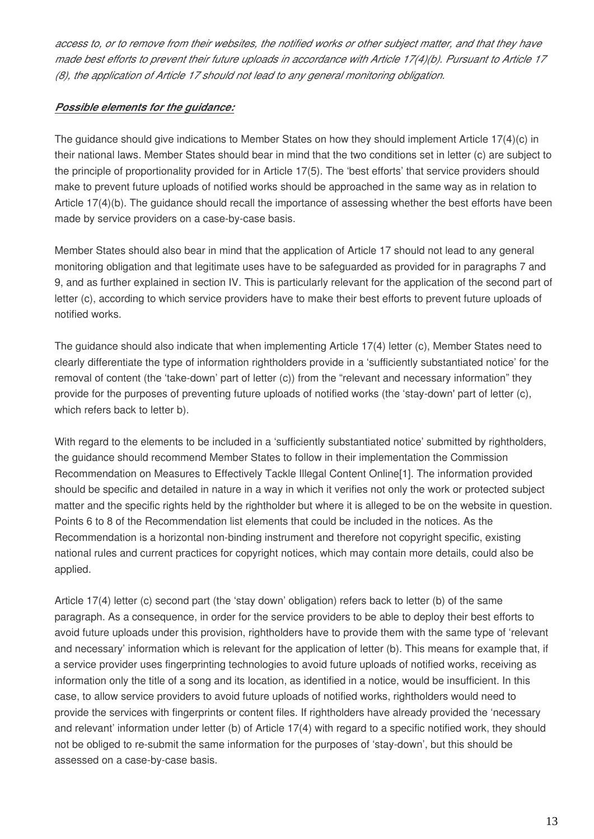*access to, or to remove from their websites, the notified works or other subject matter, and that they have made best efforts to prevent their future uploads in accordance with Article 17(4)(b). Pursuant to Article 17 (8), the application of Article 17 should not lead to any general monitoring obligation.*

# *Possible elements for the guidance:*

The guidance should give indications to Member States on how they should implement Article 17(4)(c) in their national laws. Member States should bear in mind that the two conditions set in letter (c) are subject to the principle of proportionality provided for in Article 17(5). The 'best efforts' that service providers should make to prevent future uploads of notified works should be approached in the same way as in relation to Article 17(4)(b). The guidance should recall the importance of assessing whether the best efforts have been made by service providers on a case-by-case basis.

Member States should also bear in mind that the application of Article 17 should not lead to any general monitoring obligation and that legitimate uses have to be safeguarded as provided for in paragraphs 7 and 9, and as further explained in section IV. This is particularly relevant for the application of the second part of letter (c), according to which service providers have to make their best efforts to prevent future uploads of notified works.

The guidance should also indicate that when implementing Article 17(4) letter (c), Member States need to clearly differentiate the type of information rightholders provide in a 'sufficiently substantiated notice' for the removal of content (the 'take-down' part of letter (c)) from the "relevant and necessary information" they provide for the purposes of preventing future uploads of notified works (the 'stay-down' part of letter (c), which refers back to letter b).

With regard to the elements to be included in a 'sufficiently substantiated notice' submitted by rightholders, the guidance should recommend Member States to follow in their implementation the Commission Recommendation on Measures to Effectively Tackle Illegal Content Online[1]. The information provided should be specific and detailed in nature in a way in which it verifies not only the work or protected subject matter and the specific rights held by the rightholder but where it is alleged to be on the website in question. Points 6 to 8 of the Recommendation list elements that could be included in the notices. As the Recommendation is a horizontal non-binding instrument and therefore not copyright specific, existing national rules and current practices for copyright notices, which may contain more details, could also be applied.

Article 17(4) letter (c) second part (the 'stay down' obligation) refers back to letter (b) of the same paragraph. As a consequence, in order for the service providers to be able to deploy their best efforts to avoid future uploads under this provision, rightholders have to provide them with the same type of 'relevant and necessary' information which is relevant for the application of letter (b). This means for example that, if a service provider uses fingerprinting technologies to avoid future uploads of notified works, receiving as information only the title of a song and its location, as identified in a notice, would be insufficient. In this case, to allow service providers to avoid future uploads of notified works, rightholders would need to provide the services with fingerprints or content files. If rightholders have already provided the 'necessary and relevant' information under letter (b) of Article 17(4) with regard to a specific notified work, they should not be obliged to re-submit the same information for the purposes of 'stay-down', but this should be assessed on a case-by-case basis.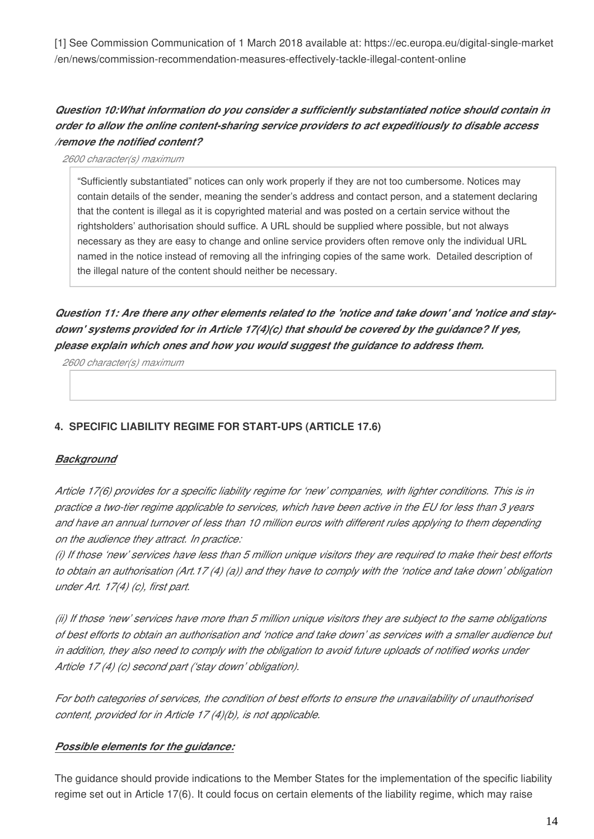[1] See Commission Communication of 1 March 2018 available at: https://ec.europa.eu/digital-single-market /en/news/commission-recommendation-measures-effectively-tackle-illegal-content-online

# *Question 10:What information do you consider a sufficiently substantiated notice should contain in order to allow the online content-sharing service providers to act expeditiously to disable access /remove the notified content?*

*2600 character(s) maximum*

"Sufficiently substantiated" notices can only work properly if they are not too cumbersome. Notices may contain details of the sender, meaning the sender's address and contact person, and a statement declaring that the content is illegal as it is copyrighted material and was posted on a certain service without the rightsholders' authorisation should suffice. A URL should be supplied where possible, but not always necessary as they are easy to change and online service providers often remove only the individual URL named in the notice instead of removing all the infringing copies of the same work. Detailed description of the illegal nature of the content should neither be necessary.

*Question 11: Are there any other elements related to the 'notice and take down' and 'notice and staydown' systems provided for in Article 17(4)(c) that should be covered by the guidance? If yes, please explain which ones and how you would suggest the guidance to address them.*

*2600 character(s) maximum*

# **4. SPECIFIC LIABILITY REGIME FOR START-UPS (ARTICLE 17.6)**

# *Background*

*Article 17(6) provides for a specific liability regime for 'new' companies, with lighter conditions. This is in practice a two-tier regime applicable to services, which have been active in the EU for less than 3 years and have an annual turnover of less than 10 million euros with different rules applying to them depending on the audience they attract. In practice:*

*(i) If those 'new' services have less than 5 million unique visitors they are required to make their best efforts to obtain an authorisation (Art.17 (4) (a)) and they have to comply with the 'notice and take down' obligation under Art. 17(4) (c), first part.*

*(ii) If those 'new' services have more than 5 million unique visitors they are subject to the same obligations of best efforts to obtain an authorisation and 'notice and take down' as services with a smaller audience but in addition, they also need to comply with the obligation to avoid future uploads of notified works under Article 17 (4) (c) second part ('stay down' obligation).*

*For both categories of services, the condition of best efforts to ensure the unavailability of unauthorised content, provided for in Article 17 (4)(b), is not applicable.*

#### *Possible elements for the guidance:*

The guidance should provide indications to the Member States for the implementation of the specific liability regime set out in Article 17(6). It could focus on certain elements of the liability regime, which may raise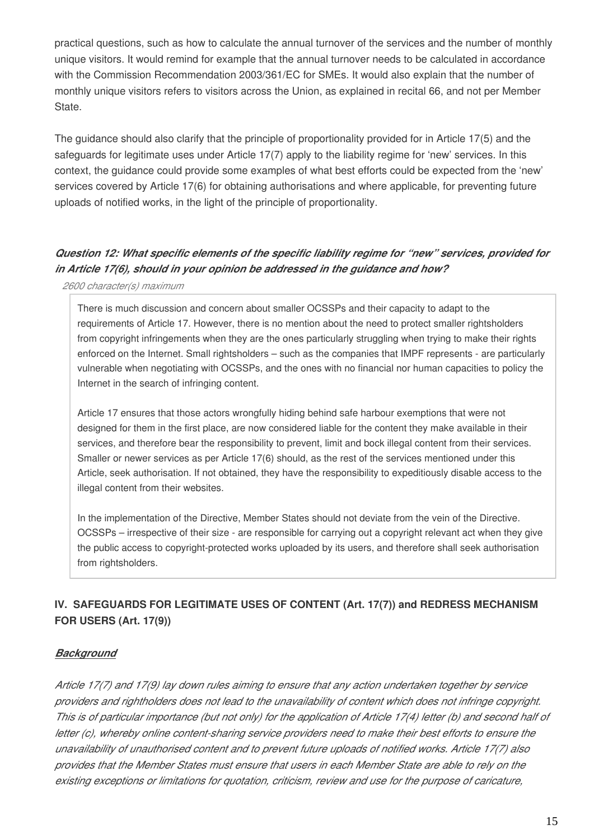practical questions, such as how to calculate the annual turnover of the services and the number of monthly unique visitors. It would remind for example that the annual turnover needs to be calculated in accordance with the Commission Recommendation 2003/361/EC for SMEs. It would also explain that the number of monthly unique visitors refers to visitors across the Union, as explained in recital 66, and not per Member State.

The guidance should also clarify that the principle of proportionality provided for in Article 17(5) and the safeguards for legitimate uses under Article 17(7) apply to the liability regime for 'new' services. In this context, the guidance could provide some examples of what best efforts could be expected from the 'new' services covered by Article 17(6) for obtaining authorisations and where applicable, for preventing future uploads of notified works, in the light of the principle of proportionality.

# *Question 12: What specific elements of the specific liability regime for "new" services, provided for in Article 17(6), should in your opinion be addressed in the guidance and how?*

*2600 character(s) maximum*

There is much discussion and concern about smaller OCSSPs and their capacity to adapt to the requirements of Article 17. However, there is no mention about the need to protect smaller rightsholders from copyright infringements when they are the ones particularly struggling when trying to make their rights enforced on the Internet. Small rightsholders – such as the companies that IMPF represents - are particularly vulnerable when negotiating with OCSSPs, and the ones with no financial nor human capacities to policy the Internet in the search of infringing content.

Article 17 ensures that those actors wrongfully hiding behind safe harbour exemptions that were not designed for them in the first place, are now considered liable for the content they make available in their services, and therefore bear the responsibility to prevent, limit and bock illegal content from their services. Smaller or newer services as per Article 17(6) should, as the rest of the services mentioned under this Article, seek authorisation. If not obtained, they have the responsibility to expeditiously disable access to the illegal content from their websites.

In the implementation of the Directive, Member States should not deviate from the vein of the Directive. OCSSPs – irrespective of their size - are responsible for carrying out a copyright relevant act when they give the public access to copyright-protected works uploaded by its users, and therefore shall seek authorisation from rightsholders.

# **IV. SAFEGUARDS FOR LEGITIMATE USES OF CONTENT (Art. 17(7)) and REDRESS MECHANISM FOR USERS (Art. 17(9))**

# *Background*

*Article 17(7) and 17(9) lay down rules aiming to ensure that any action undertaken together by service providers and rightholders does not lead to the unavailability of content which does not infringe copyright. This is of particular importance (but not only) for the application of Article 17(4) letter (b) and second half of letter (c), whereby online content-sharing service providers need to make their best efforts to ensure the unavailability of unauthorised content and to prevent future uploads of notified works. Article 17(7) also provides that the Member States must ensure that users in each Member State are able to rely on the existing exceptions or limitations for quotation, criticism, review and use for the purpose of caricature,*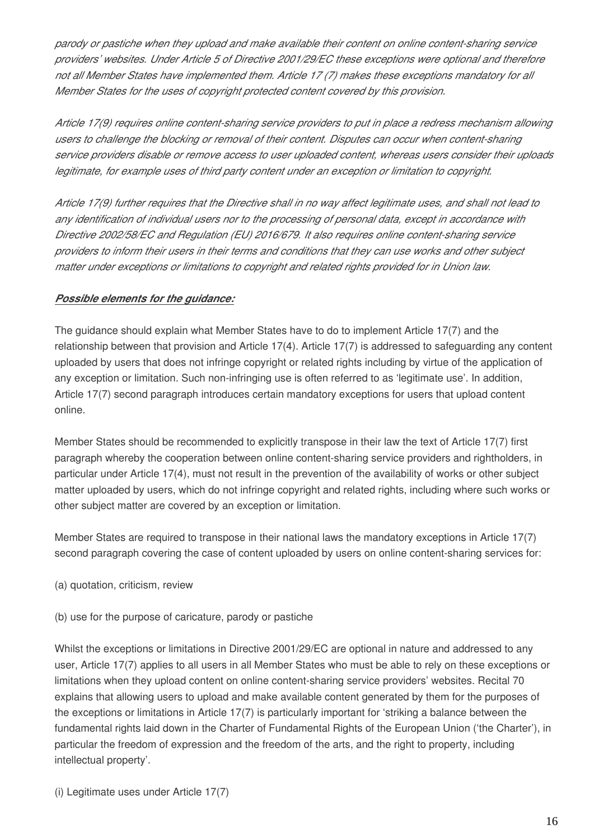*parody or pastiche when they upload and make available their content on online content-sharing service providers' websites. Under Article 5 of Directive 2001/29/EC these exceptions were optional and therefore not all Member States have implemented them. Article 17 (7) makes these exceptions mandatory for all Member States for the uses of copyright protected content covered by this provision.*

*Article 17(9) requires online content-sharing service providers to put in place a redress mechanism allowing users to challenge the blocking or removal of their content. Disputes can occur when content-sharing service providers disable or remove access to user uploaded content, whereas users consider their uploads legitimate, for example uses of third party content under an exception or limitation to copyright.*

*Article 17(9) further requires that the Directive shall in no way affect legitimate uses, and shall not lead to any identification of individual users nor to the processing of personal data, except in accordance with Directive 2002/58/EC and Regulation (EU) 2016/679. It also requires online content-sharing service providers to inform their users in their terms and conditions that they can use works and other subject matter under exceptions or limitations to copyright and related rights provided for in Union law.*

# *Possible elements for the guidance:*

The guidance should explain what Member States have to do to implement Article 17(7) and the relationship between that provision and Article 17(4). Article 17(7) is addressed to safeguarding any content uploaded by users that does not infringe copyright or related rights including by virtue of the application of any exception or limitation. Such non-infringing use is often referred to as 'legitimate use'. In addition, Article 17(7) second paragraph introduces certain mandatory exceptions for users that upload content online.

Member States should be recommended to explicitly transpose in their law the text of Article 17(7) first paragraph whereby the cooperation between online content-sharing service providers and rightholders, in particular under Article 17(4), must not result in the prevention of the availability of works or other subject matter uploaded by users, which do not infringe copyright and related rights, including where such works or other subject matter are covered by an exception or limitation.

Member States are required to transpose in their national laws the mandatory exceptions in Article 17(7) second paragraph covering the case of content uploaded by users on online content-sharing services for:

- (a) quotation, criticism, review
- (b) use for the purpose of caricature, parody or pastiche

Whilst the exceptions or limitations in Directive 2001/29/EC are optional in nature and addressed to any user, Article 17(7) applies to all users in all Member States who must be able to rely on these exceptions or limitations when they upload content on online content-sharing service providers' websites. Recital 70 explains that allowing users to upload and make available content generated by them for the purposes of the exceptions or limitations in Article 17(7) is particularly important for 'striking a balance between the fundamental rights laid down in the Charter of Fundamental Rights of the European Union ('the Charter'), in particular the freedom of expression and the freedom of the arts, and the right to property, including intellectual property'.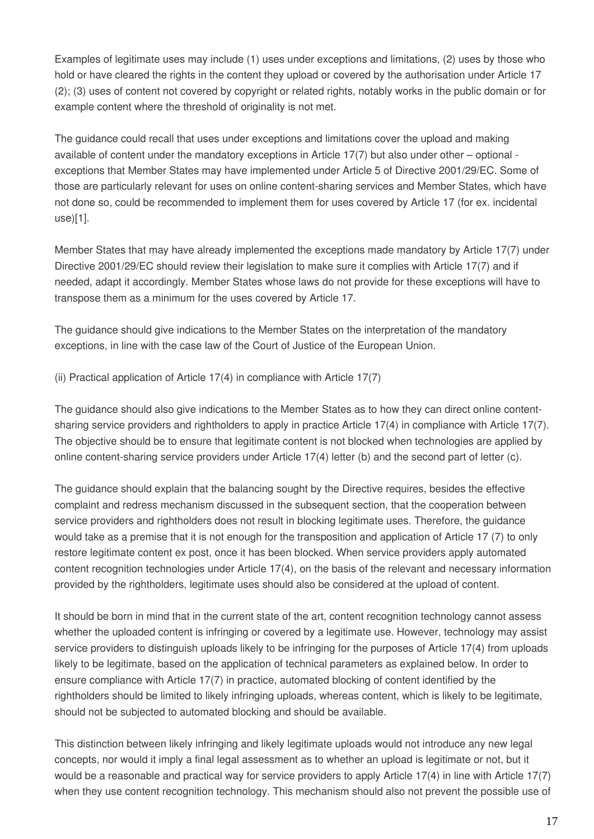Examples of legitimate uses may include (1) uses under exceptions and limitations, (2) uses by those who hold or have cleared the rights in the content they upload or covered by the authorisation under Article 17 (2); (3) uses of content not covered by copyright or related rights, notably works in the public domain or for example content where the threshold of originality is not met.

The guidance could recall that uses under exceptions and limitations cover the upload and making available of content under the mandatory exceptions in Article 17(7) but also under other – optional exceptions that Member States may have implemented under Article 5 of Directive 2001/29/EC. Some of those are particularly relevant for uses on online content-sharing services and Member States, which have not done so, could be recommended to implement them for uses covered by Article 17 (for ex. incidental use)[1].

Member States that may have already implemented the exceptions made mandatory by Article 17(7) under Directive 2001/29/EC should review their legislation to make sure it complies with Article 17(7) and if needed, adapt it accordingly. Member States whose laws do not provide for these exceptions will have to transpose them as a minimum for the uses covered by Article 17.

The guidance should give indications to the Member States on the interpretation of the mandatory exceptions, in line with the case law of the Court of Justice of the European Union.

(ii) Practical application of Article 17(4) in compliance with Article 17(7)

The guidance should also give indications to the Member States as to how they can direct online contentsharing service providers and rightholders to apply in practice Article 17(4) in compliance with Article 17(7). The objective should be to ensure that legitimate content is not blocked when technologies are applied by online content-sharing service providers under Article 17(4) letter (b) and the second part of letter (c).

The guidance should explain that the balancing sought by the Directive requires, besides the effective complaint and redress mechanism discussed in the subsequent section, that the cooperation between service providers and rightholders does not result in blocking legitimate uses. Therefore, the guidance would take as a premise that it is not enough for the transposition and application of Article 17 (7) to only restore legitimate content ex post, once it has been blocked. When service providers apply automated content recognition technologies under Article 17(4), on the basis of the relevant and necessary information provided by the rightholders, legitimate uses should also be considered at the upload of content.

It should be born in mind that in the current state of the art, content recognition technology cannot assess whether the uploaded content is infringing or covered by a legitimate use. However, technology may assist service providers to distinguish uploads likely to be infringing for the purposes of Article 17(4) from uploads likely to be legitimate, based on the application of technical parameters as explained below. In order to ensure compliance with Article 17(7) in practice, automated blocking of content identified by the rightholders should be limited to likely infringing uploads, whereas content, which is likely to be legitimate, should not be subjected to automated blocking and should be available.

This distinction between likely infringing and likely legitimate uploads would not introduce any new legal concepts, nor would it imply a final legal assessment as to whether an upload is legitimate or not, but it would be a reasonable and practical way for service providers to apply Article 17(4) in line with Article 17(7) when they use content recognition technology. This mechanism should also not prevent the possible use of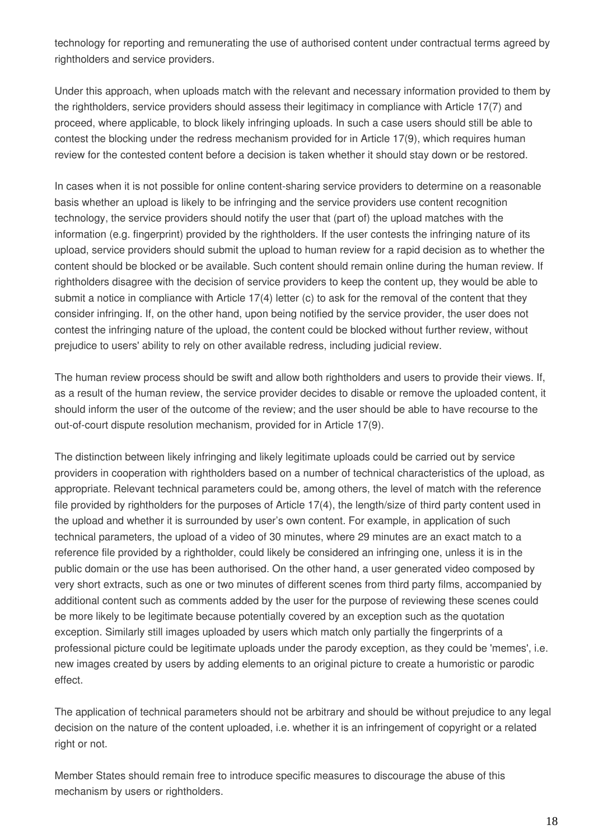technology for reporting and remunerating the use of authorised content under contractual terms agreed by rightholders and service providers.

Under this approach, when uploads match with the relevant and necessary information provided to them by the rightholders, service providers should assess their legitimacy in compliance with Article 17(7) and proceed, where applicable, to block likely infringing uploads. In such a case users should still be able to contest the blocking under the redress mechanism provided for in Article 17(9), which requires human review for the contested content before a decision is taken whether it should stay down or be restored.

In cases when it is not possible for online content-sharing service providers to determine on a reasonable basis whether an upload is likely to be infringing and the service providers use content recognition technology, the service providers should notify the user that (part of) the upload matches with the information (e.g. fingerprint) provided by the rightholders. If the user contests the infringing nature of its upload, service providers should submit the upload to human review for a rapid decision as to whether the content should be blocked or be available. Such content should remain online during the human review. If rightholders disagree with the decision of service providers to keep the content up, they would be able to submit a notice in compliance with Article 17(4) letter (c) to ask for the removal of the content that they consider infringing. If, on the other hand, upon being notified by the service provider, the user does not contest the infringing nature of the upload, the content could be blocked without further review, without prejudice to users' ability to rely on other available redress, including judicial review.

The human review process should be swift and allow both rightholders and users to provide their views. If, as a result of the human review, the service provider decides to disable or remove the uploaded content, it should inform the user of the outcome of the review; and the user should be able to have recourse to the out-of-court dispute resolution mechanism, provided for in Article 17(9).

The distinction between likely infringing and likely legitimate uploads could be carried out by service providers in cooperation with rightholders based on a number of technical characteristics of the upload, as appropriate. Relevant technical parameters could be, among others, the level of match with the reference file provided by rightholders for the purposes of Article 17(4), the length/size of third party content used in the upload and whether it is surrounded by user's own content. For example, in application of such technical parameters, the upload of a video of 30 minutes, where 29 minutes are an exact match to a reference file provided by a rightholder, could likely be considered an infringing one, unless it is in the public domain or the use has been authorised. On the other hand, a user generated video composed by very short extracts, such as one or two minutes of different scenes from third party films, accompanied by additional content such as comments added by the user for the purpose of reviewing these scenes could be more likely to be legitimate because potentially covered by an exception such as the quotation exception. Similarly still images uploaded by users which match only partially the fingerprints of a professional picture could be legitimate uploads under the parody exception, as they could be 'memes', i.e. new images created by users by adding elements to an original picture to create a humoristic or parodic effect.

The application of technical parameters should not be arbitrary and should be without prejudice to any legal decision on the nature of the content uploaded, i.e. whether it is an infringement of copyright or a related right or not.

Member States should remain free to introduce specific measures to discourage the abuse of this mechanism by users or rightholders.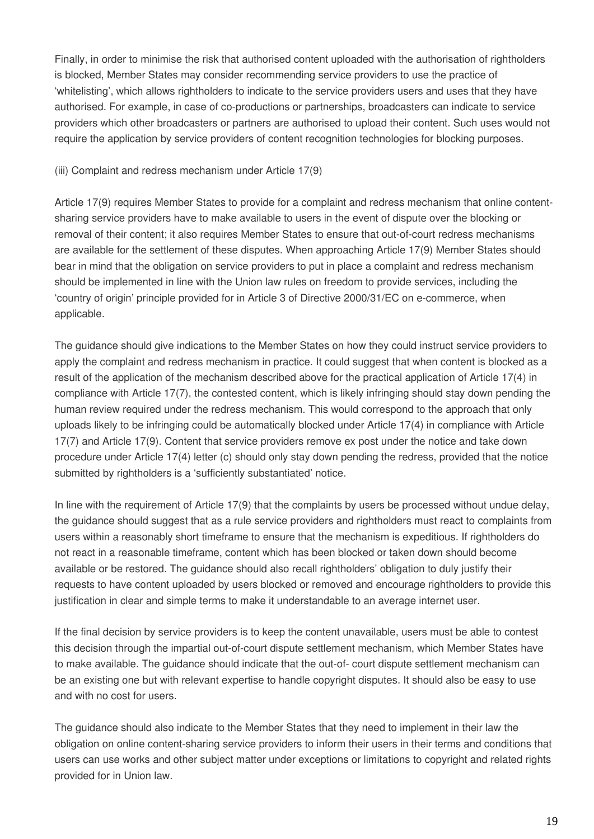Finally, in order to minimise the risk that authorised content uploaded with the authorisation of rightholders is blocked, Member States may consider recommending service providers to use the practice of 'whitelisting', which allows rightholders to indicate to the service providers users and uses that they have authorised. For example, in case of co-productions or partnerships, broadcasters can indicate to service providers which other broadcasters or partners are authorised to upload their content. Such uses would not require the application by service providers of content recognition technologies for blocking purposes.

#### (iii) Complaint and redress mechanism under Article 17(9)

Article 17(9) requires Member States to provide for a complaint and redress mechanism that online contentsharing service providers have to make available to users in the event of dispute over the blocking or removal of their content; it also requires Member States to ensure that out-of-court redress mechanisms are available for the settlement of these disputes. When approaching Article 17(9) Member States should bear in mind that the obligation on service providers to put in place a complaint and redress mechanism should be implemented in line with the Union law rules on freedom to provide services, including the 'country of origin' principle provided for in Article 3 of Directive 2000/31/EC on e-commerce, when applicable.

The guidance should give indications to the Member States on how they could instruct service providers to apply the complaint and redress mechanism in practice. It could suggest that when content is blocked as a result of the application of the mechanism described above for the practical application of Article 17(4) in compliance with Article 17(7), the contested content, which is likely infringing should stay down pending the human review required under the redress mechanism. This would correspond to the approach that only uploads likely to be infringing could be automatically blocked under Article 17(4) in compliance with Article 17(7) and Article 17(9). Content that service providers remove ex post under the notice and take down procedure under Article 17(4) letter (c) should only stay down pending the redress, provided that the notice submitted by rightholders is a 'sufficiently substantiated' notice.

In line with the requirement of Article 17(9) that the complaints by users be processed without undue delay, the guidance should suggest that as a rule service providers and rightholders must react to complaints from users within a reasonably short timeframe to ensure that the mechanism is expeditious. If rightholders do not react in a reasonable timeframe, content which has been blocked or taken down should become available or be restored. The guidance should also recall rightholders' obligation to duly justify their requests to have content uploaded by users blocked or removed and encourage rightholders to provide this justification in clear and simple terms to make it understandable to an average internet user.

If the final decision by service providers is to keep the content unavailable, users must be able to contest this decision through the impartial out-of-court dispute settlement mechanism, which Member States have to make available. The guidance should indicate that the out-of- court dispute settlement mechanism can be an existing one but with relevant expertise to handle copyright disputes. It should also be easy to use and with no cost for users.

The guidance should also indicate to the Member States that they need to implement in their law the obligation on online content-sharing service providers to inform their users in their terms and conditions that users can use works and other subject matter under exceptions or limitations to copyright and related rights provided for in Union law.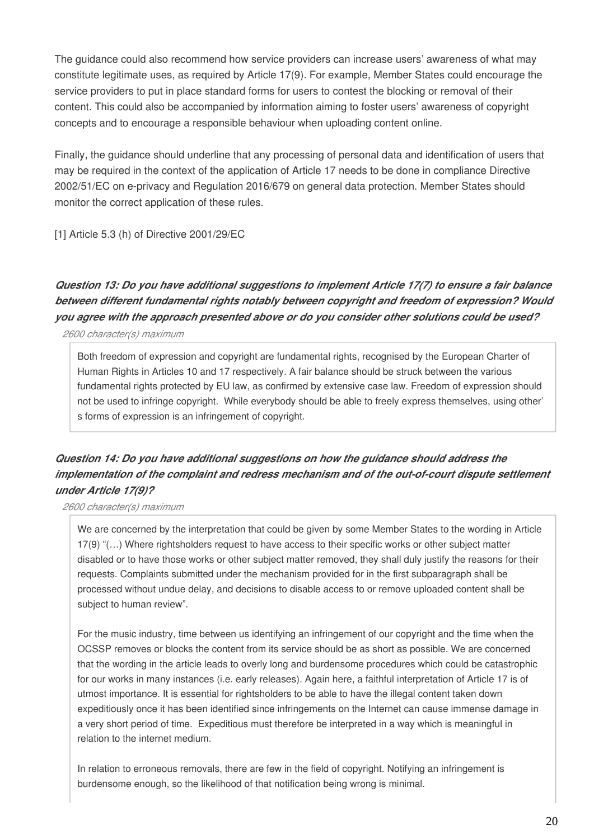The guidance could also recommend how service providers can increase users' awareness of what may constitute legitimate uses, as required by Article 17(9). For example, Member States could encourage the service providers to put in place standard forms for users to contest the blocking or removal of their content. This could also be accompanied by information aiming to foster users' awareness of copyright concepts and to encourage a responsible behaviour when uploading content online.

Finally, the guidance should underline that any processing of personal data and identification of users that may be required in the context of the application of Article 17 needs to be done in compliance Directive 2002/51/EC on e-privacy and Regulation 2016/679 on general data protection. Member States should monitor the correct application of these rules.

[1] Article 5.3 (h) of Directive 2001/29/EC

# *Question 13: Do you have additional suggestions to implement Article 17(7) to ensure a fair balance between different fundamental rights notably between copyright and freedom of expression? Would you agree with the approach presented above or do you consider other solutions could be used?*

*2600 character(s) maximum*

Both freedom of expression and copyright are fundamental rights, recognised by the European Charter of Human Rights in Articles 10 and 17 respectively. A fair balance should be struck between the various fundamental rights protected by EU law, as confirmed by extensive case law. Freedom of expression should not be used to infringe copyright. While everybody should be able to freely express themselves, using other' s forms of expression is an infringement of copyright.

# *Question 14: Do you have additional suggestions on how the guidance should address the implementation of the complaint and redress mechanism and of the out-of-court dispute settlement under Article 17(9)?*

*2600 character(s) maximum*

We are concerned by the interpretation that could be given by some Member States to the wording in Article 17(9) "(…) Where rightsholders request to have access to their specific works or other subject matter disabled or to have those works or other subject matter removed, they shall duly justify the reasons for their requests. Complaints submitted under the mechanism provided for in the first subparagraph shall be processed without undue delay, and decisions to disable access to or remove uploaded content shall be subject to human review".

For the music industry, time between us identifying an infringement of our copyright and the time when the OCSSP removes or blocks the content from its service should be as short as possible. We are concerned that the wording in the article leads to overly long and burdensome procedures which could be catastrophic for our works in many instances (i.e. early releases). Again here, a faithful interpretation of Article 17 is of utmost importance. It is essential for rightsholders to be able to have the illegal content taken down expeditiously once it has been identified since infringements on the Internet can cause immense damage in a very short period of time. Expeditious must therefore be interpreted in a way which is meaningful in relation to the internet medium.

In relation to erroneous removals, there are few in the field of copyright. Notifying an infringement is burdensome enough, so the likelihood of that notification being wrong is minimal.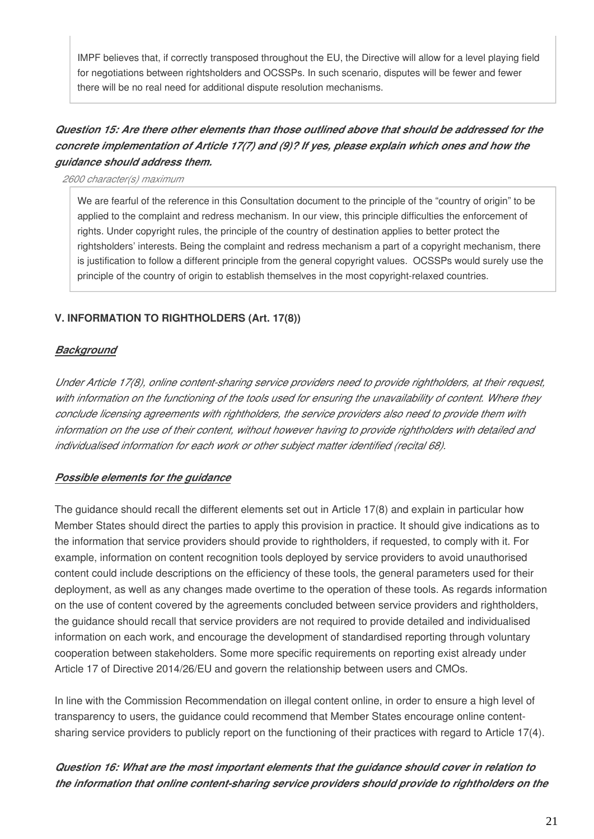IMPF believes that, if correctly transposed throughout the EU, the Directive will allow for a level playing field for negotiations between rightsholders and OCSSPs. In such scenario, disputes will be fewer and fewer there will be no real need for additional dispute resolution mechanisms.

# *Question 15: Are there other elements than those outlined above that should be addressed for the concrete implementation of Article 17(7) and (9)? If yes, please explain which ones and how the guidance should address them.*

*2600 character(s) maximum*

We are fearful of the reference in this Consultation document to the principle of the "country of origin" to be applied to the complaint and redress mechanism. In our view, this principle difficulties the enforcement of rights. Under copyright rules, the principle of the country of destination applies to better protect the rightsholders' interests. Being the complaint and redress mechanism a part of a copyright mechanism, there is justification to follow a different principle from the general copyright values. OCSSPs would surely use the principle of the country of origin to establish themselves in the most copyright-relaxed countries.

# **V. INFORMATION TO RIGHTHOLDERS (Art. 17(8))**

# *Background*

*Under Article 17(8), online content-sharing service providers need to provide rightholders, at their request, with information on the functioning of the tools used for ensuring the unavailability of content. Where they conclude licensing agreements with rightholders, the service providers also need to provide them with information on the use of their content, without however having to provide rightholders with detailed and individualised information for each work or other subject matter identified (recital 68).*

# *Possible elements for the guidance*

The guidance should recall the different elements set out in Article 17(8) and explain in particular how Member States should direct the parties to apply this provision in practice. It should give indications as to the information that service providers should provide to rightholders, if requested, to comply with it. For example, information on content recognition tools deployed by service providers to avoid unauthorised content could include descriptions on the efficiency of these tools, the general parameters used for their deployment, as well as any changes made overtime to the operation of these tools. As regards information on the use of content covered by the agreements concluded between service providers and rightholders, the guidance should recall that service providers are not required to provide detailed and individualised information on each work, and encourage the development of standardised reporting through voluntary cooperation between stakeholders. Some more specific requirements on reporting exist already under Article 17 of Directive 2014/26/EU and govern the relationship between users and CMOs.

In line with the Commission Recommendation on illegal content online, in order to ensure a high level of transparency to users, the guidance could recommend that Member States encourage online contentsharing service providers to publicly report on the functioning of their practices with regard to Article 17(4).

*Question 16: What are the most important elements that the guidance should cover in relation to the information that online content-sharing service providers should provide to rightholders on the*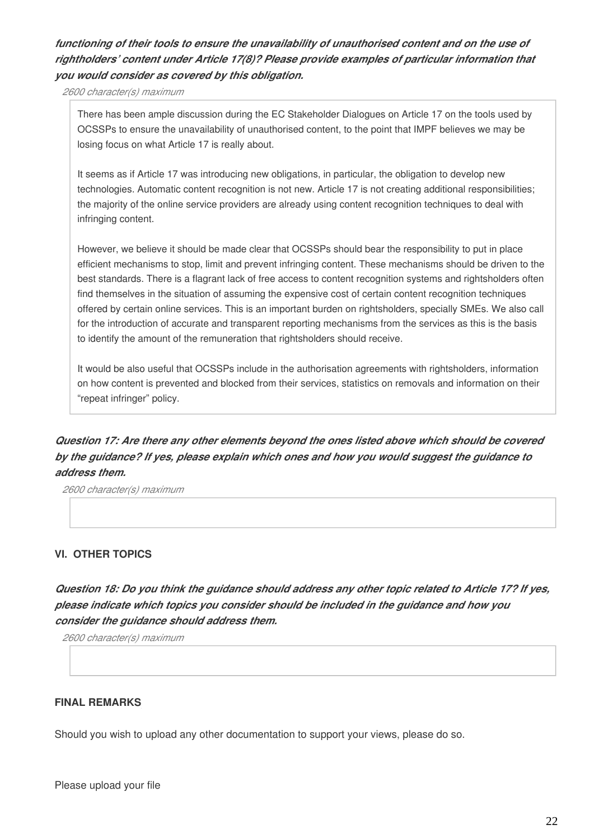# *functioning of their tools to ensure the unavailability of unauthorised content and on the use of rightholders' content under Article 17(8)? Please provide examples of particular information that you would consider as covered by this obligation.*

*2600 character(s) maximum*

There has been ample discussion during the EC Stakeholder Dialogues on Article 17 on the tools used by OCSSPs to ensure the unavailability of unauthorised content, to the point that IMPF believes we may be losing focus on what Article 17 is really about.

It seems as if Article 17 was introducing new obligations, in particular, the obligation to develop new technologies. Automatic content recognition is not new. Article 17 is not creating additional responsibilities; the majority of the online service providers are already using content recognition techniques to deal with infringing content.

However, we believe it should be made clear that OCSSPs should bear the responsibility to put in place efficient mechanisms to stop, limit and prevent infringing content. These mechanisms should be driven to the best standards. There is a flagrant lack of free access to content recognition systems and rightsholders often find themselves in the situation of assuming the expensive cost of certain content recognition techniques offered by certain online services. This is an important burden on rightsholders, specially SMEs. We also call for the introduction of accurate and transparent reporting mechanisms from the services as this is the basis to identify the amount of the remuneration that rightsholders should receive.

It would be also useful that OCSSPs include in the authorisation agreements with rightsholders, information on how content is prevented and blocked from their services, statistics on removals and information on their "repeat infringer" policy.

# *Question 17: Are there any other elements beyond the ones listed above which should be covered by the guidance? If yes, please explain which ones and how you would suggest the guidance to address them.*

*2600 character(s) maximum*

#### **VI. OTHER TOPICS**

*Question 18: Do you think the guidance should address any other topic related to Article 17? If yes, please indicate which topics you consider should be included in the guidance and how you consider the guidance should address them.*

*2600 character(s) maximum*

#### **FINAL REMARKS**

Should you wish to upload any other documentation to support your views, please do so.